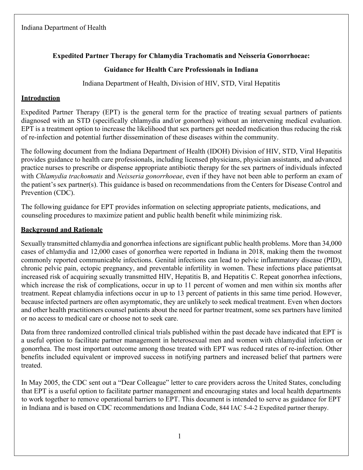# **Expedited Partner Therapy for Chlamydia Trachomatis and Neisseria Gonorrhoeae:**

# **Guidance for Health Care Professionals in Indiana**

Indiana Department of Health, Division of HIV, STD, Viral Hepatitis

## **Introduction**

Expedited Partner Therapy (EPT) is the general term for the practice of treating sexual partners of patients diagnosed with an STD (specifically chlamydia and/or gonorrhea) without an intervening medical evaluation. EPT is a treatment option to increase the likelihood that sex partners get needed medication thus reducing the risk of re-infection and potential further dissemination of these diseases within the community.

The following document from the Indiana Department of Health (IDOH) Division of HIV, STD, Viral Hepatitis provides guidance to health care professionals, including licensed physicians, physician assistants, and advanced practice nurses to prescribe or dispense appropriate antibiotic therapy for the sex partners of individuals infected with *Chlamydia trachomatis* and *Neisseria gonorrhoeae*, even if they have not been able to perform an exam of the patient's sex partner(s). This guidance is based on recommendations from the Centers for Disease Control and Prevention (CDC).

The following guidance for EPT provides information on selecting appropriate patients, medications, and counseling procedures to maximize patient and public health benefit while minimizing risk.

# **Background and Rationale**

Sexually transmitted chlamydia and gonorrhea infections are significant public health problems. More than 34,000 cases of chlamydia and 12,000 cases of gonorrhea were reported in Indiana in 2018, making them the twomost commonly reported communicable infections. Genital infections can lead to pelvic inflammatory disease (PID), chronic pelvic pain, ectopic pregnancy, and preventable infertility in women. These infections place patientsat increased risk of acquiring sexually transmitted HIV, Hepatitis B, and Hepatitis C. Repeat gonorrhea infections, which increase the risk of complications, occur in up to 11 percent of women and men within six months after treatment. Repeat chlamydia infections occur in up to 13 percent of patients in this same time period. However, because infected partners are often asymptomatic, they are unlikely to seek medical treatment. Even when doctors and other health practitioners counsel patients about the need for partner treatment, some sex partners have limited or no access to medical care or choose not to seek care.

Data from three randomized controlled clinical trials published within the past decade have indicated that EPT is a useful option to facilitate partner management in heterosexual men and women with chlamydial infection or gonorrhea. The most important outcome among those treated with EPT was reduced rates of re-infection. Other benefits included equivalent or improved success in notifying partners and increased belief that partners were treated.

In May 2005, the CDC sent out a "Dear Colleague" letter to care providers across the United States, concluding that EPT is a useful option to facilitate partner management and encouraging states and local health departments to work together to remove operational barriers to EPT. This document is intended to serve as guidance for EPT in Indiana and is based on CDC recommendations and Indiana Code, 844 IAC 5-4-2 Expedited partner therapy.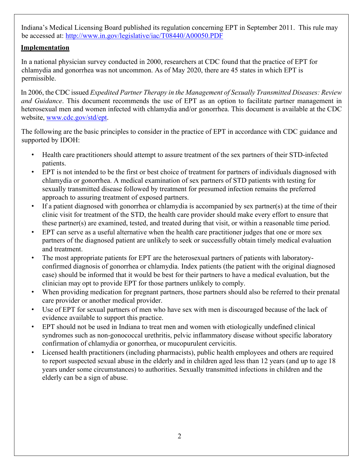Indiana's Medical Licensing Board published its regulation concerning EPT in September 2011. This rule may be accessed at: <http://www.in.gov/legislative/iac/T08440/A00050.PDF>

### **Implementation**

In a national physician survey conducted in 2000, researchers at CDC found that the practice of EPT for chlamydia and gonorrhea was not uncommon. As of May 2020, there are 45 states in which EPT is permissible.

In 2006, the CDC issued *Expedited Partner Therapy in the Management of Sexually Transmitted Diseases: Review and Guidance*. This document recommends the use of EPT as an option to facilitate partner management in heterosexual men and women infected with chlamydia and/or gonorrhea. This document is available at the CDC website, [www.cdc.gov/std/ept.](http://www.cdc.gov/std/ept)

The following are the basic principles to consider in the practice of EPT in accordance with CDC guidance and supported by IDOH:

- Health care practitioners should attempt to assure treatment of the sex partners of their STD-infected patients.
- EPT is not intended to be the first or best choice of treatment for partners of individuals diagnosed with chlamydia or gonorrhea. A medical examination of sex partners of STD patients with testing for sexually transmitted disease followed by treatment for presumed infection remains the preferred approach to assuring treatment of exposed partners.
- If a patient diagnosed with gonorrhea or chlamydia is accompanied by sex partner(s) at the time of their clinic visit for treatment of the STD, the health care provider should make every effort to ensure that these partner(s) are examined, tested, and treated during that visit, or within a reasonable time period.
- EPT can serve as a useful alternative when the health care practitioner judges that one or more sex partners of the diagnosed patient are unlikely to seek or successfully obtain timely medical evaluation and treatment.
- The most appropriate patients for EPT are the heterosexual partners of patients with laboratoryconfirmed diagnosis of gonorrhea or chlamydia. Index patients (the patient with the original diagnosed case) should be informed that it would be best for their partners to have a medical evaluation, but the clinician may opt to provide EPT for those partners unlikely to comply.
- When providing medication for pregnant partners, those partners should also be referred to their prenatal care provider or another medical provider.
- Use of EPT for sexual partners of men who have sex with men is discouraged because of the lack of evidence available to support this practice.
- EPT should not be used in Indiana to treat men and women with etiologically undefined clinical syndromes such as non-gonococcal urethritis, pelvic inflammatory disease without specific laboratory confirmation of chlamydia or gonorrhea, or mucopurulent cervicitis.
- Licensed health practitioners (including pharmacists), public health employees and others are required to report suspected sexual abuse in the elderly and in children aged less than 12 years (and up to age 18 years under some circumstances) to authorities. Sexually transmitted infections in children and the elderly can be a sign of abuse.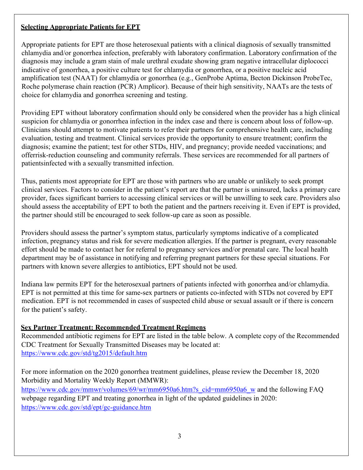### **Selecting Appropriate Patients for EPT**

Appropriate patients for EPT are those heterosexual patients with a clinical diagnosis of sexually transmitted chlamydia and/or gonorrhea infection, preferably with laboratory confirmation. Laboratory confirmation of the diagnosis may include a gram stain of male urethral exudate showing gram negative intracellular diplococci indicative of gonorrhea, a positive culture test for chlamydia or gonorrhea, or a positive nucleic acid amplification test (NAAT) for chlamydia or gonorrhea (e.g., GenProbe Aptima, Becton Dickinson ProbeTec, Roche polymerase chain reaction (PCR) Amplicor). Because of their high sensitivity, NAATs are the tests of choice for chlamydia and gonorrhea screening and testing.

Providing EPT without laboratory confirmation should only be considered when the provider has a high clinical suspicion for chlamydia or gonorrhea infection in the index case and there is concern about loss of follow-up. Clinicians should attempt to motivate patients to refer their partners for comprehensive health care, including evaluation, testing and treatment. Clinical services provide the opportunity to ensure treatment; confirm the diagnosis; examine the patient; test for other STDs, HIV, and pregnancy; provide needed vaccinations; and offerrisk-reduction counseling and community referrals. These services are recommended for all partners of patientsinfected with a sexually transmitted infection.

Thus, patients most appropriate for EPT are those with partners who are unable or unlikely to seek prompt clinical services. Factors to consider in the patient's report are that the partner is uninsured, lacks a primary care provider, faces significant barriers to accessing clinical services or will be unwilling to seek care. Providers also should assess the acceptability of EPT to both the patient and the partners receiving it. Even if EPT is provided, the partner should still be encouraged to seek follow-up care as soon as possible.

Providers should assess the partner's symptom status, particularly symptoms indicative of a complicated infection, pregnancy status and risk for severe medication allergies. If the partner is pregnant, every reasonable effort should be made to contact her for referral to pregnancy services and/or prenatal care. The local health department may be of assistance in notifying and referring pregnant partners for these special situations. For partners with known severe allergies to antibiotics, EPT should not be used.

Indiana law permits EPT for the heterosexual partners of patients infected with gonorrhea and/or chlamydia. EPT is not permitted at this time for same-sex partners or patients co-infected with STDs not covered by EPT medication. EPT is not recommended in cases of suspected child abuse or sexual assault or if there is concern for the patient's safety.

#### **Sex Partner Treatment: Recommended Treatment Regimens**

Recommended antibiotic regimens for EPT are listed in the table below. A complete copy of the Recommended CDC Treatment for Sexually Transmitted Diseases may be located at: <https://www.cdc.gov/std/tg2015/default.htm>

For more information on the 2020 gonorrhea treatment guidelines, please review the December 18, 2020 Morbidity and Mortality Weekly Report (MMWR): [https://www.cdc.gov/mmwr/volumes/69/wr/mm6950a6.htm?s\\_cid=mm6950a6\\_w](https://www.cdc.gov/mmwr/volumes/69/wr/mm6950a6.htm?s_cid=mm6950a6_w) and the following FAQ webpage regarding EPT and treating gonorrhea in light of the updated guidelines in 2020: <https://www.cdc.gov/std/ept/gc-guidance.htm>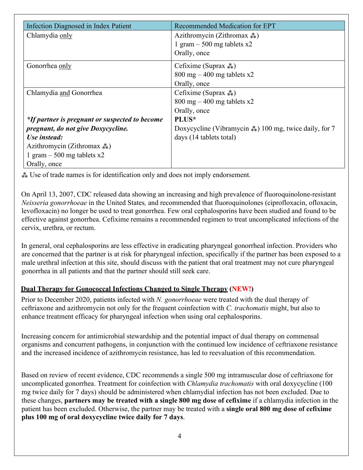| Infection Diagnosed in Index Patient                  | Recommended Medication for EPT                                     |
|-------------------------------------------------------|--------------------------------------------------------------------|
| Chlamydia only                                        | Azithromycin (Zithromax $\ddot{*}$ )                               |
|                                                       | 1 gram $-500$ mg tablets x2                                        |
|                                                       | Orally, once                                                       |
| Gonorrhea only                                        | Cefixime (Suprax **)                                               |
|                                                       | $800 \text{ mg} - 400 \text{ mg}$ tablets x2                       |
|                                                       | Orally, once                                                       |
| Chlamydia and Gonorrhea                               | Cefixime (Suprax $\ddot{*}$ )                                      |
|                                                       | $800 \text{ mg} - 400 \text{ mg}$ tablets x2                       |
|                                                       | Orally, once                                                       |
| <i>*If partner is pregnant or suspected to become</i> | PLUS*                                                              |
| pregnant, do not give Doxycycline.                    | Doxycycline (Vibramycin $\ddot{\ast}$ ) 100 mg, twice daily, for 7 |
| Use instead:                                          | days (14 tablets total)                                            |
| Azithromycin (Zithromax $\ddot{\ast}$ )               |                                                                    |
| 1 gram $-500$ mg tablets x2                           |                                                                    |
| Orally, once                                          |                                                                    |

⁂ Use of trade names is for identification only and does not imply endorsement.

On April 13, 2007, CDC released data showing an increasing and high prevalence of fluoroquinolone-resistant *Neisseria gonorrhoeae* in the United States*,* and recommended that fluoroquinolones (ciprofloxacin, ofloxacin, levofloxacin) no longer be used to treat gonorrhea. Few oral cephalosporins have been studied and found to be effective against gonorrhea. Cefixime remains a recommended regimen to treat uncomplicated infections of the cervix, urethra, or rectum.

In general, oral cephalosporins are less effective in eradicating pharyngeal gonorrheal infection. Providers who are concerned that the partner is at risk for pharyngeal infection, specifically if the partner has been exposed to a male urethral infection at this site, should discuss with the patient that oral treatment may not cure pharyngeal gonorrhea in all patients and that the partner should still seek care.

## **Dual Therapy for Gonococcal Infections Changed to Single Therapy (NEW!)**

Prior to December 2020, patients infected with *N. gonorrhoeae* were treated with the dual therapy of ceftriaxone and azithromycin not only for the frequent coinfection with *C. trachomatis* might, but also to enhance treatment efficacy for pharyngeal infection when using oral cephalosporins.

Increasing concern for antimicrobial stewardship and the potential impact of dual therapy on commensal organisms and concurrent pathogens, in conjunction with the continued low incidence of ceftriaxone resistance and the increased incidence of azithromycin resistance, has led to reevaluation of this recommendation.

Based on review of recent evidence, CDC recommends a single 500 mg intramuscular dose of ceftriaxone for uncomplicated gonorrhea. Treatment for coinfection with *Chlamydia trachomatis* with oral doxycycline (100 mg twice daily for 7 days) should be administered when chlamydial infection has not been excluded. Due to these changes, **partners may be treated with a single 800 mg dose of cefixime** if a chlamydia infection in the patient has been excluded. Otherwise, the partner may be treated with a **single oral 800 mg dose of cefixime plus 100 mg of oral doxycycline twice daily for 7 days**.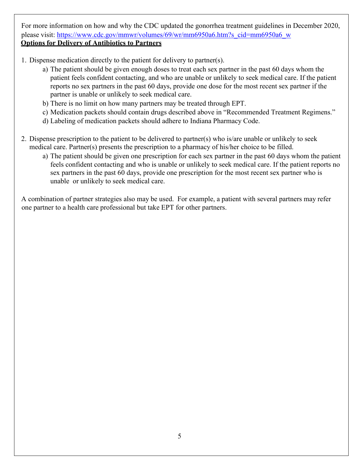For more information on how and why the CDC updated the gonorrhea treatment guidelines in December 2020, please visit: [https://www.cdc.gov/mmwr/volumes/69/wr/mm6950a6.htm?s\\_cid=mm6950a6\\_w](https://www.cdc.gov/mmwr/volumes/69/wr/mm6950a6.htm?s_cid=mm6950a6_w) **Options for Delivery of Antibiotics to Partners**

- 1. Dispense medication directly to the patient for delivery to partner(s).
	- a) The patient should be given enough doses to treat each sex partner in the past 60 days whom the patient feels confident contacting, and who are unable or unlikely to seek medical care. If the patient reports no sex partners in the past 60 days, provide one dose for the most recent sex partner if the partner is unable or unlikely to seek medical care.
	- b) There is no limit on how many partners may be treated through EPT.
	- c) Medication packets should contain drugs described above in "Recommended Treatment Regimens."
	- d) Labeling of medication packets should adhere to Indiana Pharmacy Code.
- 2. Dispense prescription to the patient to be delivered to partner(s) who is/are unable or unlikely to seek medical care. Partner(s) presents the prescription to a pharmacy of his/her choice to be filled.
	- a) The patient should be given one prescription for each sex partner in the past 60 days whom the patient feels confident contacting and who is unable or unlikely to seek medical care. If the patient reports no sex partners in the past 60 days, provide one prescription for the most recent sex partner who is unable or unlikely to seek medical care.

A combination of partner strategies also may be used. For example, a patient with several partners may refer one partner to a health care professional but take EPT for other partners.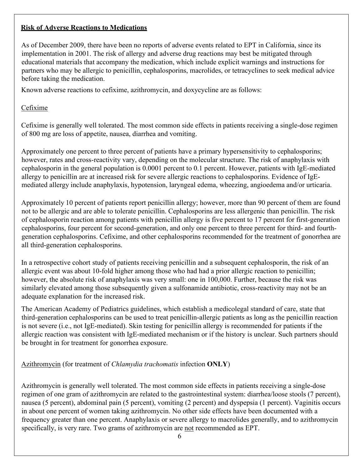### **Risk of Adverse Reactions to Medications**

As of December 2009, there have been no reports of adverse events related to EPT in California, since its implementation in 2001. The risk of allergy and adverse drug reactions may best be mitigated through educational materials that accompany the medication, which include explicit warnings and instructions for partners who may be allergic to penicillin, cephalosporins, macrolides, or tetracyclines to seek medical advice before taking the medication.

Known adverse reactions to cefixime, azithromycin, and doxycycline are as follows:

#### Cefixime

Cefixime is generally well tolerated. The most common side effects in patients receiving a single-dose regimen of 800 mg are loss of appetite, nausea, diarrhea and vomiting.

Approximately one percent to three percent of patients have a primary hypersensitivity to cephalosporins; however, rates and cross-reactivity vary, depending on the molecular structure. The risk of anaphylaxis with cephalosporin in the general population is 0.0001 percent to 0.1 percent. However, patients with IgE-mediated allergy to penicillin are at increased risk for severe allergic reactions to cephalosporins. Evidence of IgEmediated allergy include anaphylaxis, hypotension, laryngeal edema, wheezing, angioedema and/or urticaria.

Approximately 10 percent of patients report penicillin allergy; however, more than 90 percent of them are found not to be allergic and are able to tolerate penicillin. Cephalosporins are less allergenic than penicillin. The risk of cephalosporin reaction among patients with penicillin allergy is five percent to 17 percent for first-generation cephalosporins, four percent for second-generation, and only one percent to three percent for third- and fourthgeneration cephalosporins. Cefixime, and other cephalosporins recommended for the treatment of gonorrhea are all third-generation cephalosporins.

In a retrospective cohort study of patients receiving penicillin and a subsequent cephalosporin, the risk of an allergic event was about 10-fold higher among those who had had a prior allergic reaction to penicillin; however, the absolute risk of anaphylaxis was very small: one in 100,000. Further, because the risk was similarly elevated among those subsequently given a sulfonamide antibiotic, cross-reactivity may not be an adequate explanation for the increased risk.

The American Academy of Pediatrics guidelines, which establish a medicolegal standard of care, state that third-generation cephalosporins can be used to treat penicillin-allergic patients as long as the penicillin reaction is not severe (i.e., not IgE-mediated). Skin testing for penicillin allergy is recommended for patients if the allergic reaction was consistent with IgE-mediated mechanism or if the history is unclear. Such partners should be brought in for treatment for gonorrhea exposure.

#### Azithromycin (for treatment of *Chlamydia trachomatis* infection **ONLY**)

Azithromycin is generally well tolerated. The most common side effects in patients receiving a single-dose regimen of one gram of azithromycin are related to the gastrointestinal system: diarrhea/loose stools (7 percent), nausea (5 percent), abdominal pain (5 percent), vomiting (2 percent) and dyspepsia (1 percent). Vaginitis occurs in about one percent of women taking azithromycin. No other side effects have been documented with a frequency greater than one percent. Anaphylaxis or severe allergy to macrolides generally, and to azithromycin specifically, is very rare. Two grams of azithromycin are not recommended as EPT.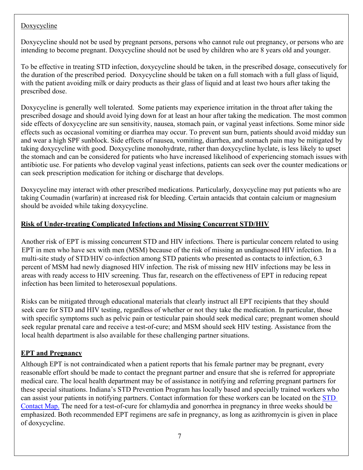## Doxycycline

Doxycycline should not be used by pregnant persons, persons who cannot rule out pregnancy, or persons who are intending to become pregnant. Doxycycline should not be used by children who are 8 years old and younger.

To be effective in treating STD infection, doxycycline should be taken, in the prescribed dosage, consecutively for the duration of the prescribed period. Doxycycline should be taken on a full stomach with a full glass of liquid, with the patient avoiding milk or dairy products as their glass of liquid and at least two hours after taking the prescribed dose.

Doxycycline is generally well tolerated. Some patients may experience irritation in the throat after taking the prescribed dosage and should avoid lying down for at least an hour after taking the medication. The most common side effects of doxycycline are sun sensitivity, nausea, stomach pain, or vaginal yeast infections. Some minor side effects such as occasional vomiting or diarrhea may occur. To prevent sun burn, patients should avoid midday sun and wear a high SPF sunblock. Side effects of nausea, vomiting, diarrhea, and stomach pain may be mitigated by taking doxycycline with good. Doxycycline monohydrate, rather than doxycycline hyclate, is less likely to upset the stomach and can be considered for patients who have increased likelihood of experiencing stomach issues with antibiotic use. For patients who develop vaginal yeast infections, patients can seek over the counter medications or can seek prescription medication for itching or discharge that develops.

Doxycycline may interact with other prescribed medications. Particularly, doxycycline may put patients who are taking Coumadin (warfarin) at increased risk for bleeding. Certain antacids that contain calcium or magnesium should be avoided while taking doxycycline.

# **Risk of Under-treating Complicated Infections and Missing Concurrent STD/HIV**

Another risk of EPT is missing concurrent STD and HIV infections. There is particular concern related to using EPT in men who have sex with men (MSM) because of the risk of missing an undiagnosed HIV infection. In a multi-site study of STD/HIV co-infection among STD patients who presented as contacts to infection, 6.3 percent of MSM had newly diagnosed HIV infection. The risk of missing new HIV infections may be less in areas with ready access to HIV screening. Thus far, research on the effectiveness of EPT in reducing repeat infection has been limited to heterosexual populations.

Risks can be mitigated through educational materials that clearly instruct all EPT recipients that they should seek care for STD and HIV testing, regardless of whether or not they take the medication. In particular, those with specific symptoms such as pelvic pain or testicular pain should seek medical care; pregnant women should seek regular prenatal care and receive a test-of-cure; and MSM should seek HIV testing. Assistance from the local health department is also available for these challenging partner situations.

# **EPT and Pregnancy**

Although EPT is not contraindicated when a patient reports that his female partner may be pregnant, every reasonable effort should be made to contact the pregnant partner and ensure that she is referred for appropriate medical care. The local health department may be of assistance in notifying and referring pregnant partners for these special situations. Indiana's STD Prevention Program has locally based and specially trained workers who can assist your patients in notifying partners. Contact information for these workers can be located on the [STD](https://www.in.gov/isdh/17440.htm)  [Contact Map.](https://www.in.gov/isdh/17440.htm) The need for a test-of-cure for chlamydia and gonorrhea in pregnancy in three weeks should be emphasized. Both recommended EPT regimens are safe in pregnancy, as long as azithromycin is given in place of doxycycline.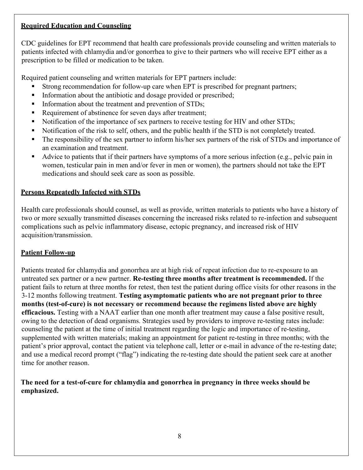## **Required Education and Counseling**

CDC guidelines for EPT recommend that health care professionals provide counseling and written materials to patients infected with chlamydia and/or gonorrhea to give to their partners who will receive EPT either as a prescription to be filled or medication to be taken.

Required patient counseling and written materials for EPT partners include:

- Strong recommendation for follow-up care when EPT is prescribed for pregnant partners;
- Information about the antibiotic and dosage provided or prescribed;
- Information about the treatment and prevention of STDs;
- Requirement of abstinence for seven days after treatment;
- Notification of the importance of sex partners to receive testing for HIV and other STDs;
- Notification of the risk to self, others, and the public health if the STD is not completely treated.
- The responsibility of the sex partner to inform his/her sex partners of the risk of STDs and importance of an examination and treatment.
- Advice to patients that if their partners have symptoms of a more serious infection (e.g., pelvic pain in women, testicular pain in men and/or fever in men or women), the partners should not take the EPT medications and should seek care as soon as possible.

## **Persons Repeatedly Infected with STDs**

Health care professionals should counsel, as well as provide, written materials to patients who have a history of two or more sexually transmitted diseases concerning the increased risks related to re-infection and subsequent complications such as pelvic inflammatory disease, ectopic pregnancy, and increased risk of HIV acquisition/transmission.

# **Patient Follow-up**

Patients treated for chlamydia and gonorrhea are at high risk of repeat infection due to re-exposure to an untreated sex partner or a new partner. **Re-testing three months after treatment is recommended.** If the patient fails to return at three months for retest, then test the patient during office visits for other reasons in the 3-12 months following treatment. **Testing asymptomatic patients who are not pregnant prior to three months (test-of-cure) is not necessary or recommend because the regimens listed above are highly efficacious.** Testing with a NAAT earlier than one month after treatment may cause a false positive result, owing to the detection of dead organisms. Strategies used by providers to improve re-testing rates include: counseling the patient at the time of initial treatment regarding the logic and importance of re-testing, supplemented with written materials; making an appointment for patient re-testing in three months; with the patient's prior approval, contact the patient via telephone call, letter or e-mail in advance of the re-testing date; and use a medical record prompt ("flag") indicating the re-testing date should the patient seek care at another time for another reason.

## **The need for a test-of-cure for chlamydia and gonorrhea in pregnancy in three weeks should be emphasized.**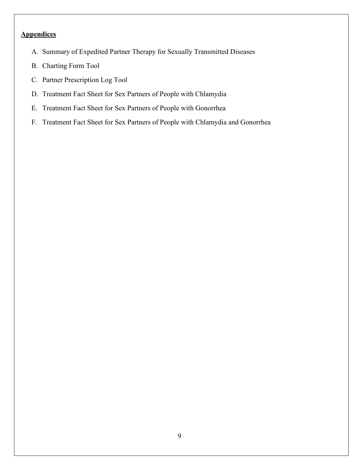# **Appendices**

- A. Summary of Expedited Partner Therapy for Sexually Transmitted Diseases
- B. Charting Form Tool
- C. Partner Prescription Log Tool
- D. Treatment Fact Sheet for Sex Partners of People with Chlamydia
- E. Treatment Fact Sheet for Sex Partners of People with Gonorrhea
- F. Treatment Fact Sheet for Sex Partners of People with Chlamydia and Gonorrhea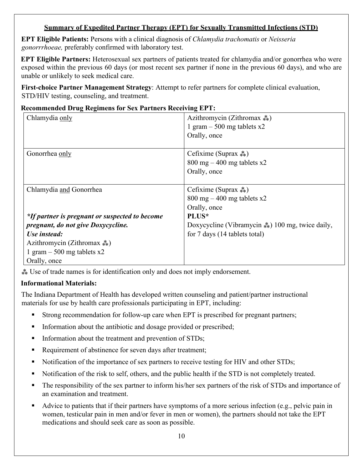# **Summary of Expedited Partner Therapy (EPT) for Sexually Transmitted Infections (STD)**

**EPT Eligible Patients:** Persons with a clinical diagnosis of *Chlamydia trachomatis* or *Neisseria gonorrrhoeae,* preferably confirmed with laboratory test.

**EPT Eligible Partners:** Heterosexual sex partners of patients treated for chlamydia and/or gonorrhea who were exposed within the previous 60 days (or most recent sex partner if none in the previous 60 days), and who are unable or unlikely to seek medical care.

**First-choice Partner Management Strategy**: Attempt to refer partners for complete clinical evaluation, STD/HIV testing, counseling, and treatment.

#### **Recommended Drug Regimens for Sex Partners Receiving EPT:**

| Chlamydia only                                 | Azithromycin (Zithromax $\ddot{*}$ )                         |
|------------------------------------------------|--------------------------------------------------------------|
|                                                | 1 gram $-500$ mg tablets x2                                  |
|                                                |                                                              |
|                                                | Orally, once                                                 |
|                                                |                                                              |
| Gonorrhea only                                 | Cefixime (Suprax $\ddot{\ast}$ )                             |
|                                                | $800 \text{ mg} - 400 \text{ mg}$ tablets x2                 |
|                                                | Orally, once                                                 |
|                                                |                                                              |
| Chlamydia and Gonorrhea                        | Cefixime (Suprax $\ddot{*}$ )                                |
|                                                | $800 \text{ mg} - 400 \text{ mg}$ tablets x2                 |
|                                                | Orally, once                                                 |
| *If partner is pregnant or suspected to become | PLUS*                                                        |
| pregnant, do not give Doxycycline.             | Doxycycline (Vibramycin $\ddot{\ast}$ ) 100 mg, twice daily, |
| Use instead:                                   | for 7 days (14 tablets total)                                |
| Azithromycin (Zithromax $\ddot{\ast}$ )        |                                                              |
| 1 gram $-500$ mg tablets x2                    |                                                              |
| Orally, once                                   |                                                              |

⁂ Use of trade names is for identification only and does not imply endorsement.

## **Informational Materials:**

The Indiana Department of Health has developed written counseling and patient/partner instructional materials for use by health care professionals participating in EPT, including:

- Strong recommendation for follow-up care when EPT is prescribed for pregnant partners;
- Information about the antibiotic and dosage provided or prescribed;
- Information about the treatment and prevention of STDs;
- Requirement of abstinence for seven days after treatment;
- Notification of the importance of sex partners to receive testing for HIV and other STDs;
- Notification of the risk to self, others, and the public health if the STD is not completely treated.
- The responsibility of the sex partner to inform his/her sex partners of the risk of STDs and importance of an examination and treatment.
- Advice to patients that if their partners have symptoms of a more serious infection (e.g., pelvic pain in women, testicular pain in men and/or fever in men or women), the partners should not take the EPT medications and should seek care as soon as possible.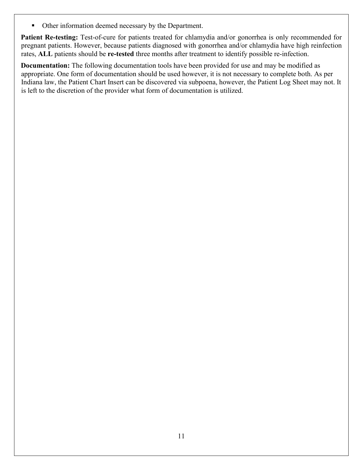• Other information deemed necessary by the Department.

**Patient Re-testing:** Test-of-cure for patients treated for chlamydia and/or gonorrhea is only recommended for pregnant patients. However, because patients diagnosed with gonorrhea and/or chlamydia have high reinfection rates, **ALL** patients should be **re-tested** three months after treatment to identify possible re-infection.

**Documentation:** The following documentation tools have been provided for use and may be modified as appropriate. One form of documentation should be used however, it is not necessary to complete both. As per Indiana law, the Patient Chart Insert can be discovered via subpoena, however, the Patient Log Sheet may not. It is left to the discretion of the provider what form of documentation is utilized.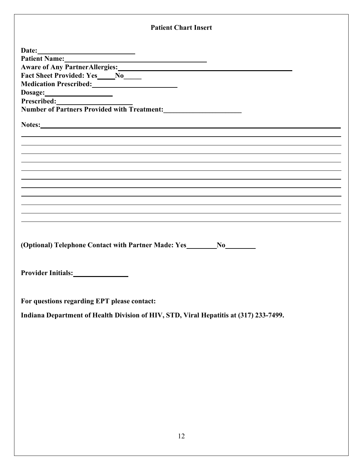| <b>Patient Chart Insert</b>                                                           |  |
|---------------------------------------------------------------------------------------|--|
|                                                                                       |  |
|                                                                                       |  |
| Aware of Any PartnerAllergies:<br><u>Land Aware of Any PartnerAllergies:</u>          |  |
| Fact Sheet Provided: Yes____No____                                                    |  |
| Medication Prescribed:<br><u> </u>                                                    |  |
|                                                                                       |  |
|                                                                                       |  |
| Prescribed:<br>Number of Partners Provided with Treatment:__________________________  |  |
|                                                                                       |  |
| Notes:                                                                                |  |
|                                                                                       |  |
|                                                                                       |  |
|                                                                                       |  |
|                                                                                       |  |
|                                                                                       |  |
|                                                                                       |  |
|                                                                                       |  |
|                                                                                       |  |
|                                                                                       |  |
|                                                                                       |  |
|                                                                                       |  |
| (Optional) Telephone Contact with Partner Made: Yes_____________________________      |  |
|                                                                                       |  |
| Provider Initials:                                                                    |  |
| For questions regarding EPT please contact:                                           |  |
|                                                                                       |  |
| Indiana Department of Health Division of HIV, STD, Viral Hepatitis at (317) 233-7499. |  |
|                                                                                       |  |
|                                                                                       |  |
|                                                                                       |  |
|                                                                                       |  |
|                                                                                       |  |
|                                                                                       |  |
|                                                                                       |  |
|                                                                                       |  |
|                                                                                       |  |
|                                                                                       |  |
|                                                                                       |  |
|                                                                                       |  |
|                                                                                       |  |
| 12                                                                                    |  |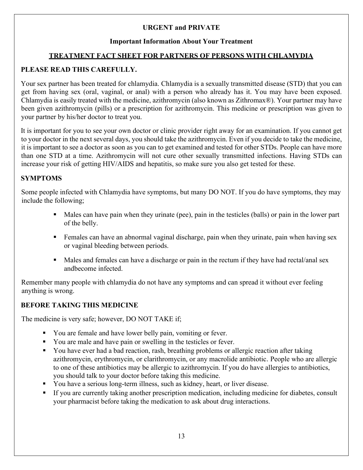## **URGENT and PRIVATE**

## **Important Information About Your Treatment**

# **TREATMENT FACT SHEET FOR PARTNERS OF PERSONS WITH CHLAMYDIA**

# **PLEASE READ THIS CAREFULLY.**

Your sex partner has been treated for chlamydia. Chlamydia is a sexually transmitted disease (STD) that you can get from having sex (oral, vaginal, or anal) with a person who already has it. You may have been exposed. Chlamydia is easily treated with the medicine, azithromycin (also known as Zithromax®). Your partner may have been given azithromycin (pills) or a prescription for azithromycin. This medicine or prescription was given to your partner by his/her doctor to treat you.

It is important for you to see your own doctor or clinic provider right away for an examination. If you cannot get to your doctor in the next several days, you should take the azithromycin. Even if you decide to take the medicine, it is important to see a doctor as soon as you can to get examined and tested for other STDs. People can have more than one STD at a time. Azithromycin will not cure other sexually transmitted infections. Having STDs can increase your risk of getting HIV/AIDS and hepatitis, so make sure you also get tested for these.

## **SYMPTOMS**

Some people infected with Chlamydia have symptoms, but many DO NOT. If you do have symptoms, they may include the following;

- Males can have pain when they urinate (pee), pain in the testicles (balls) or pain in the lower part of the belly.
- Females can have an abnormal vaginal discharge, pain when they urinate, pain when having sex or vaginal bleeding between periods.
- Males and females can have a discharge or pain in the rectum if they have had rectal/anal sex andbecome infected.

Remember many people with chlamydia do not have any symptoms and can spread it without ever feeling anything is wrong.

# **BEFORE TAKING THIS MEDICINE**

The medicine is very safe; however, DO NOT TAKE if;

- You are female and have lower belly pain, vomiting or fever.
- You are male and have pain or swelling in the testicles or fever.
- You have ever had a bad reaction, rash, breathing problems or allergic reaction after taking azithromycin, erythromycin, or clarithromycin, or any macrolide antibiotic. People who are allergic to one of these antibiotics may be allergic to azithromycin. If you do have allergies to antibiotics, you should talk to your doctor before taking this medicine.
- You have a serious long-term illness, such as kidney, heart, or liver disease.
- If you are currently taking another prescription medication, including medicine for diabetes, consult your pharmacist before taking the medication to ask about drug interactions.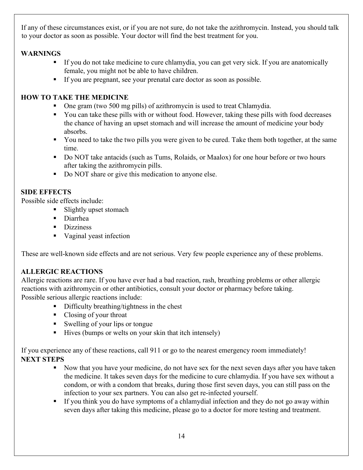If any of these circumstances exist, or if you are not sure, do not take the azithromycin. Instead, you should talk to your doctor as soon as possible. Your doctor will find the best treatment for you.

# **WARNINGS**

- If you do not take medicine to cure chlamydia, you can get very sick. If you are anatomically female, you might not be able to have children.
- If you are pregnant, see your prenatal care doctor as soon as possible.

### **HOW TO TAKE THE MEDICINE**

- One gram (two 500 mg pills) of azithromycin is used to treat Chlamydia.
- You can take these pills with or without food. However, taking these pills with food decreases the chance of having an upset stomach and will increase the amount of medicine your body absorbs.
- You need to take the two pills you were given to be cured. Take them both together, at the same time.
- Do NOT take antacids (such as Tums, Rolaids, or Maalox) for one hour before or two hours after taking the azithromycin pills.
- Do NOT share or give this medication to anyone else.

#### **SIDE EFFECTS**

Possible side effects include:

- Slightly upset stomach
- Diarrhea
- **Dizziness**
- Vaginal yeast infection

These are well-known side effects and are not serious. Very few people experience any of these problems.

## **ALLERGIC REACTIONS**

Allergic reactions are rare. If you have ever had a bad reaction, rash, breathing problems or other allergic reactions with azithromycin or other antibiotics, consult your doctor or pharmacy before taking. Possible serious allergic reactions include:

- Difficulty breathing/tightness in the chest
- Closing of your throat
- Swelling of your lips or tongue
- $\blacksquare$  Hives (bumps or welts on your skin that itch intensely)

If you experience any of these reactions, call 911 or go to the nearest emergency room immediately! **NEXT STEPS**

- Now that you have your medicine, do not have sex for the next seven days after you have taken the medicine. It takes seven days for the medicine to cure chlamydia. If you have sex without a condom, or with a condom that breaks, during those first seven days, you can still pass on the infection to your sex partners. You can also get re-infected yourself.
- If you think you do have symptoms of a chlamydial infection and they do not go away within seven days after taking this medicine, please go to a doctor for more testing and treatment.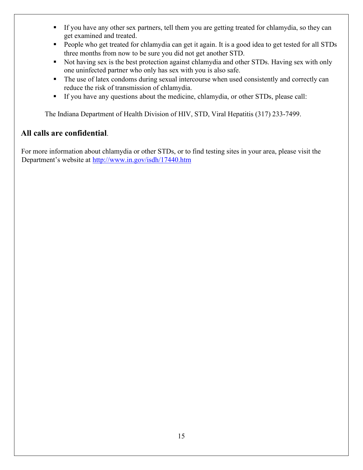- If you have any other sex partners, tell them you are getting treated for chlamydia, so they can get examined and treated.
- **People who get treated for chlamydia can get it again. It is a good idea to get tested for all STDs** three months from now to be sure you did not get another STD.
- Not having sex is the best protection against chlamydia and other STDs. Having sex with only one uninfected partner who only has sex with you is also safe.
- The use of latex condoms during sexual intercourse when used consistently and correctly can reduce the risk of transmission of chlamydia.
- If you have any questions about the medicine, chlamydia, or other STDs, please call:

The Indiana Department of Health Division of HIV, STD, Viral Hepatitis (317) 233-7499.

# **All calls are confidential**.

For more information about chlamydia or other STDs, or to find testing sites in your area, please visit the Department's website at <http://www.in.gov/isdh/17440.htm>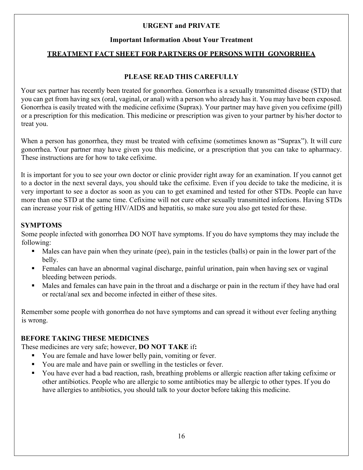## **URGENT and PRIVATE**

#### **Important Information About Your Treatment**

## **TREATMENT FACT SHEET FOR PARTNERS OF PERSONS WITH GONORRHEA**

#### **PLEASE READ THIS CAREFULLY**

Your sex partner has recently been treated for gonorrhea. Gonorrhea is a sexually transmitted disease (STD) that you can get from having sex (oral, vaginal, or anal) with a person who already has it. You may have been exposed. Gonorrhea is easily treated with the medicine cefixime (Suprax). Your partner may have given you cefixime (pill) or a prescription for this medication. This medicine or prescription was given to your partner by his/her doctor to treat you.

When a person has gonorrhea, they must be treated with cefixime (sometimes known as "Suprax"). It will cure gonorrhea. Your partner may have given you this medicine, or a prescription that you can take to apharmacy. These instructions are for how to take cefixime.

It is important for you to see your own doctor or clinic provider right away for an examination. If you cannot get to a doctor in the next several days, you should take the cefixime. Even if you decide to take the medicine, it is very important to see a doctor as soon as you can to get examined and tested for other STDs. People can have more than one STD at the same time. Cefixime will not cure other sexually transmitted infections. Having STDs can increase your risk of getting HIV/AIDS and hepatitis, so make sure you also get tested for these.

#### **SYMPTOMS**

Some people infected with gonorrhea DO NOT have symptoms. If you do have symptoms they may include the following:

- Males can have pain when they urinate (pee), pain in the testicles (balls) or pain in the lower part of the belly.
- Females can have an abnormal vaginal discharge, painful urination, pain when having sex or vaginal bleeding between periods.
- Males and females can have pain in the throat and a discharge or pain in the rectum if they have had oral or rectal/anal sex and become infected in either of these sites.

Remember some people with gonorrhea do not have symptoms and can spread it without ever feeling anything is wrong.

## **BEFORE TAKING THESE MEDICINES**

These medicines are very safe; however, **DO NOT TAKE** if**:**

- You are female and have lower belly pain, vomiting or fever.
- You are male and have pain or swelling in the testicles or fever.
- You have ever had a bad reaction, rash, breathing problems or allergic reaction after taking cefixime or other antibiotics. People who are allergic to some antibiotics may be allergic to other types. If you do have allergies to antibiotics, you should talk to your doctor before taking this medicine.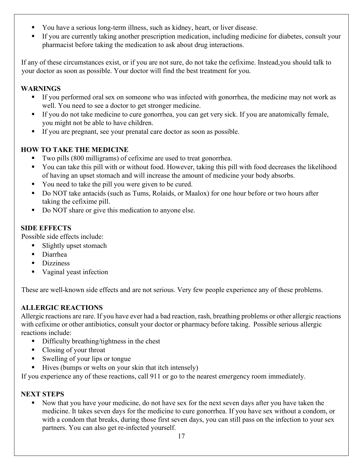- You have a serious long-term illness, such as kidney, heart, or liver disease.
- If you are currently taking another prescription medication, including medicine for diabetes, consult your pharmacist before taking the medication to ask about drug interactions.

If any of these circumstances exist, or if you are not sure, do not take the cefixime. Instead,you should talk to your doctor as soon as possible. Your doctor will find the best treatment for you.

# **WARNINGS**

- If you performed oral sex on someone who was infected with gonorrhea, the medicine may not work as well. You need to see a doctor to get stronger medicine.
- If you do not take medicine to cure gonorrhea, you can get very sick. If you are anatomically female, you might not be able to have children.
- If you are pregnant, see your prenatal care doctor as soon as possible.

# **HOW TO TAKE THE MEDICINE**

- Two pills (800 milligrams) of cefixime are used to treat gonorrhea.
- You can take this pill with or without food. However, taking this pill with food decreases the likelihood of having an upset stomach and will increase the amount of medicine your body absorbs.
- You need to take the pill you were given to be cured.
- Do NOT take antacids (such as Tums, Rolaids, or Maalox) for one hour before or two hours after taking the cefixime pill.
- Do NOT share or give this medication to anyone else.

# **SIDE EFFECTS**

Possible side effects include:

- Slightly upset stomach
- Diarrhea
- Dizziness
- Vaginal yeast infection

These are well-known side effects and are not serious. Very few people experience any of these problems.

# **ALLERGIC REACTIONS**

Allergic reactions are rare. If you have ever had a bad reaction, rash, breathing problems or other allergic reactions with cefixime or other antibiotics, consult your doctor or pharmacy before taking. Possible serious allergic reactions include:

- Difficulty breathing/tightness in the chest
- Closing of your throat
- Swelling of your lips or tongue
- Hives (bumps or welts on your skin that itch intensely)

If you experience any of these reactions, call 911 or go to the nearest emergency room immediately.

# **NEXT STEPS**

 Now that you have your medicine, do not have sex for the next seven days after you have taken the medicine. It takes seven days for the medicine to cure gonorrhea. If you have sex without a condom, or with a condom that breaks, during those first seven days, you can still pass on the infection to your sex partners. You can also get re-infected yourself.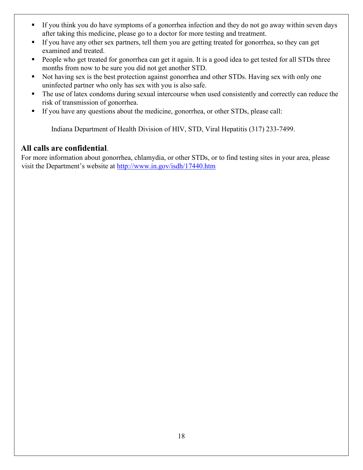- If you think you do have symptoms of a gonorrhea infection and they do not go away within seven days after taking this medicine, please go to a doctor for more testing and treatment.
- If you have any other sex partners, tell them you are getting treated for gonorrhea, so they can get examined and treated.
- People who get treated for gonorrhea can get it again. It is a good idea to get tested for all STDs three months from now to be sure you did not get another STD.
- Not having sex is the best protection against gonorrhea and other STDs. Having sex with only one uninfected partner who only has sex with you is also safe.
- The use of latex condoms during sexual intercourse when used consistently and correctly can reduce the risk of transmission of gonorrhea.
- If you have any questions about the medicine, gonorrhea, or other STDs, please call:

Indiana Department of Health Division of HIV, STD, Viral Hepatitis (317) 233-7499.

# **All calls are confidential**.

For more information about gonorrhea, chlamydia, or other STDs, or to find testing sites in your area, please visit the Department's website at <http://www.in.gov/isdh/17440.htm>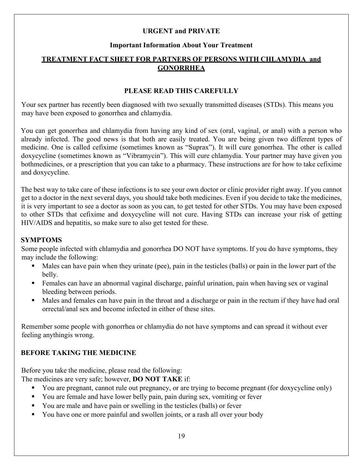#### **URGENT and PRIVATE**

#### **Important Information About Your Treatment**

## **TREATMENT FACT SHEET FOR PARTNERS OF PERSONS WITH CHLAMYDIA and GONORRHEA**

#### **PLEASE READ THIS CAREFULLY**

Your sex partner has recently been diagnosed with two sexually transmitted diseases (STDs). This means you may have been exposed to gonorrhea and chlamydia.

You can get gonorrhea and chlamydia from having any kind of sex (oral, vaginal, or anal) with a person who already infected. The good news is that both are easily treated. You are being given two different types of medicine. One is called cefixime (sometimes known as "Suprax"). It will cure gonorrhea. The other is called doxycycline (sometimes known as "Vibramycin"). This will cure chlamydia. Your partner may have given you bothmedicines, or a prescription that you can take to a pharmacy. These instructions are for how to take cefixime and doxycycline.

The best way to take care of these infections is to see your own doctor or clinic provider right away. If you cannot get to a doctor in the next several days, you should take both medicines. Even if you decide to take the medicines, it is very important to see a doctor as soon as you can, to get tested for other STDs. You may have been exposed to other STDs that cefixime and doxycycline will not cure. Having STDs can increase your risk of getting HIV/AIDS and hepatitis, so make sure to also get tested for these.

#### **SYMPTOMS**

Some people infected with chlamydia and gonorrhea DO NOT have symptoms. If you do have symptoms, they may include the following:

- Males can have pain when they urinate (pee), pain in the testicles (balls) or pain in the lower part of the belly.
- Females can have an abnormal vaginal discharge, painful urination, pain when having sex or vaginal bleeding between periods.
- Males and females can have pain in the throat and a discharge or pain in the rectum if they have had oral orrectal/anal sex and become infected in either of these sites.

Remember some people with gonorrhea or chlamydia do not have symptoms and can spread it without ever feeling anythingis wrong.

## **BEFORE TAKING THE MEDICINE**

Before you take the medicine, please read the following:

The medicines are very safe; however, **DO NOT TAKE** if:

- You are pregnant, cannot rule out pregnancy, or are trying to become pregnant (for doxycycline only)
- You are female and have lower belly pain, pain during sex, vomiting or fever
- You are male and have pain or swelling in the testicles (balls) or fever
- You have one or more painful and swollen joints, or a rash all over your body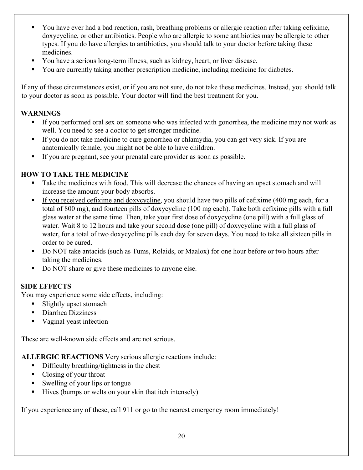- You have ever had a bad reaction, rash, breathing problems or allergic reaction after taking cefixime, doxycycline, or other antibiotics. People who are allergic to some antibiotics may be allergic to other types. If you do have allergies to antibiotics, you should talk to your doctor before taking these medicines.
- You have a serious long-term illness, such as kidney, heart, or liver disease.
- You are currently taking another prescription medicine, including medicine for diabetes.

If any of these circumstances exist, or if you are not sure, do not take these medicines. Instead, you should talk to your doctor as soon as possible. Your doctor will find the best treatment for you.

### **WARNINGS**

- If you performed oral sex on someone who was infected with gonorrhea, the medicine may not work as well. You need to see a doctor to get stronger medicine.
- If you do not take medicine to cure gonorrhea or chlamydia, you can get very sick. If you are anatomically female, you might not be able to have children.
- If you are pregnant, see your prenatal care provider as soon as possible.

#### **HOW TO TAKE THE MEDICINE**

- Take the medicines with food. This will decrease the chances of having an upset stomach and will increase the amount your body absorbs.
- If you received cefixime and doxycycline, you should have two pills of cefixime  $(400 \text{ mg each}, \text{ for a})$ total of 800 mg), and fourteen pills of doxycycline (100 mg each). Take both cefixime pills with a full glass water at the same time. Then, take your first dose of doxycycline (one pill) with a full glass of water. Wait 8 to 12 hours and take your second dose (one pill) of doxycycline with a full glass of water, for a total of two doxycycline pills each day for seven days. You need to take all sixteen pills in order to be cured.
- Do NOT take antacids (such as Tums, Rolaids, or Maalox) for one hour before or two hours after taking the medicines.
- Do NOT share or give these medicines to anyone else.

#### **SIDE EFFECTS**

You may experience some side effects, including:

- **Slightly upset stomach**
- Diarrhea Dizziness
- Vaginal yeast infection

These are well-known side effects and are not serious.

#### **ALLERGIC REACTIONS** Very serious allergic reactions include:

- Difficulty breathing/tightness in the chest
- Closing of your throat
- Swelling of your lips or tongue
- Hives (bumps or welts on your skin that itch intensely)

If you experience any of these, call 911 or go to the nearest emergency room immediately!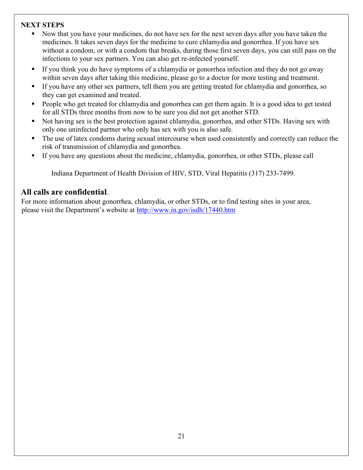## **NEXT STEPS**

- Now that you have your medicines, do not have sex for the next seven days after you have taken the medicines. It takes seven days for the medicine to cure chlamydia and gonorrhea. If you have sex without a condom, or with a condom that breaks, during those first seven days, you can still pass on the infections to your sex partners. You can also get re-infected yourself.
- If you think you do have symptoms of a chlamydia or gonorrhea infection and they do not go away within seven days after taking this medicine, please go to a doctor for more testing and treatment.
- If you have any other sex partners, tell them you are getting treated for chlamydia and gonorrhea, so they can get examined and treated.
- People who get treated for chlamydia and gonorrhea can get them again. It is a good idea to get tested for all STDs three months from now to be sure you did not get another STD.
- Not having sex is the best protection against chlamydia, gonorrhea, and other STDs. Having sex with only one uninfected partner who only has sex with you is also safe.
- The use of latex condoms during sexual intercourse when used consistently and correctly can reduce the risk of transmission of chlamydia and gonorrhea.
- If you have any questions about the medicine, chlamydia, gonorrhea, or other STDs, please call

Indiana Department of Health Division of HIV, STD, Viral Hepatitis (317) 233-7499.

# **All calls are confidential**.

For more information about gonorrhea, chlamydia, or other STDs, or to find testing sites in your area, please visit the Department's website at <http://www.in.gov/isdh/17440.htm>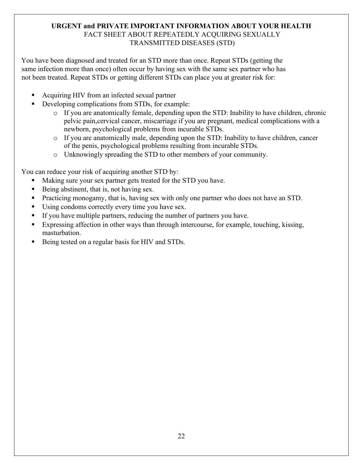# **URGENT and PRIVATE IMPORTANT INFORMATION ABOUT YOUR HEALTH** FACT SHEET ABOUT REPEATEDLY ACQUIRING SEXUALLY TRANSMITTED DISEASES (STD)

You have been diagnosed and treated for an STD more than once. Repeat STDs (getting the same infection more than once) often occur by having sex with the same sex partner who has not been treated. Repeat STDs or getting different STDs can place you at greater risk for:

- Acquiring HIV from an infected sexual partner
- Developing complications from STDs, for example:
	- o If you are anatomically female, depending upon the STD: Inability to have children, chronic pelvic pain,cervical cancer, miscarriage if you are pregnant, medical complications with a newborn, psychological problems from incurable STDs.
	- o If you are anatomically male, depending upon the STD: Inability to have children, cancer of the penis, psychological problems resulting from incurable STDs.
	- o Unknowingly spreading the STD to other members of your community.

You can reduce your risk of acquiring another STD by:

- Making sure your sex partner gets treated for the STD you have.
- Being abstinent, that is, not having sex.
- Practicing monogamy, that is, having sex with only one partner who does not have an STD.
- Using condoms correctly every time you have sex.
- If you have multiple partners, reducing the number of partners you have.
- Expressing affection in other ways than through intercourse, for example, touching, kissing, masturbation.
- Being tested on a regular basis for HIV and STDs.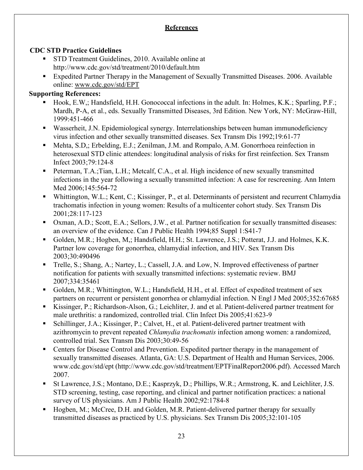# **References**

# **CDC STD Practice Guidelines**

- STD Treatment Guidelines, 2010. Available online at <http://www.cdc.gov/std/treatment/2010/default.htm>
- Expedited Partner Therapy in the Management of Sexually Transmitted Diseases. 2006. Available online: [www.cdc.gov/std/EPT](http://www.cdc.gov/std/EPT)

# **Supporting References:**

- Hook, E.W,; Handsfield, H.H. Gonococcal infections in the adult. In: Holmes, K.K.; Sparling, P.F.; Mardh, P-A, et al., eds. Sexually Transmitted Diseases, 3rd Edition. New York, NY: McGraw-Hill, 1999:451-466
- Wasserheit, J.N. Epidemiological synergy. Interrelationships between human immunodeficiency virus infection and other sexually transmitted diseases. Sex Transm Dis 1992;19:61-77
- Mehta, S.D,; Erbelding, E.J.; Zenilman, J.M. and Rompalo, A.M. Gonorrhoea reinfection in heterosexual STD clinic attendees: longitudinal analysis of risks for first reinfection. Sex Transm Infect 2003;79:124-8
- Peterman, T.A.;Tian, L.H.; Metcalf, C.A., et al. High incidence of new sexually transmitted infections in the year following a sexually transmitted infection: A case for rescreening. Ann Intern Med 2006;145:564-72
- Whittington, W.L.; Kent, C.; Kissinger, P., et al. Determinants of persistent and recurrent Chlamydia trachomatis infection in young women: Results of a multicenter cohort study. Sex Transm Dis 2001;28:117-123
- Oxman, A.D.; Scott, E.A.; Sellors, J.W., et al. Partner notification for sexually transmitted diseases: an overview of the evidence. Can J Public Health 1994;85 Suppl 1:S41-7
- Golden, M.R.; Hogben, M,; Handsfield, H.H.; St. Lawrence, J.S.; Potterat, J.J. and Holmes, K.K. Partner low coverage for gonorrhea, chlamydial infection, and HIV. Sex Transm Dis 2003;30:490496
- Trelle, S.; Shang, A.; Nartey, L.; Cassell, J.A. and Low, N. Improved effectiveness of partner notification for patients with sexually transmitted infections: systematic review. BMJ 2007;334:35461
- Golden, M.R.; Whittington, W.L.; Handsfield, H.H., et al. Effect of expedited treatment of sex partners on recurrent or persistent gonorrhea or chlamydial infection. N Engl J Med 2005;352:67685
- Kissinger, P.; Richardson-Alson, G.; Leichliter, J. and et al. Patient-delivered partner treatment for male urethritis: a randomized, controlled trial. Clin Infect Dis 2005;41:623-9
- Schillinger, J.A.; Kissinger, P.; Calvet, H., et al. Patient-delivered partner treatment with azithromycin to prevent repeated *Chlamydia trachomatis* infection among women: a randomized, controlled trial. Sex Transm Dis 2003;30:49-56
- Centers for Disease Control and Prevention. Expedited partner therapy in the management of sexually transmitted diseases. Atlanta, GA: U.S. Department of Health and Human Services, 2006. [www.cdc.gov/std/ept](http://www.cdc.gov/std/ept) [\(http://www.cdc.gov/std/treatment/EPTFinalReport2006.pdf\).](http://www.cdc.gov/std/treatment/EPTFinalReport2006.pdf)) Accessed March 2007.
- St Lawrence, J.S.; Montano, D.E.; Kasprzyk, D.; Phillips, W.R.; Armstrong, K. and Leichliter, J.S. STD screening, testing, case reporting, and clinical and partner notification practices: a national survey of US physicians. Am J Public Health 2002;92:1784-8
- Hogben, M.; McCree, D.H. and Golden, M.R. Patient-delivered partner therapy for sexually transmitted diseases as practiced by U.S. physicians. Sex Transm Dis 2005;32:101-105